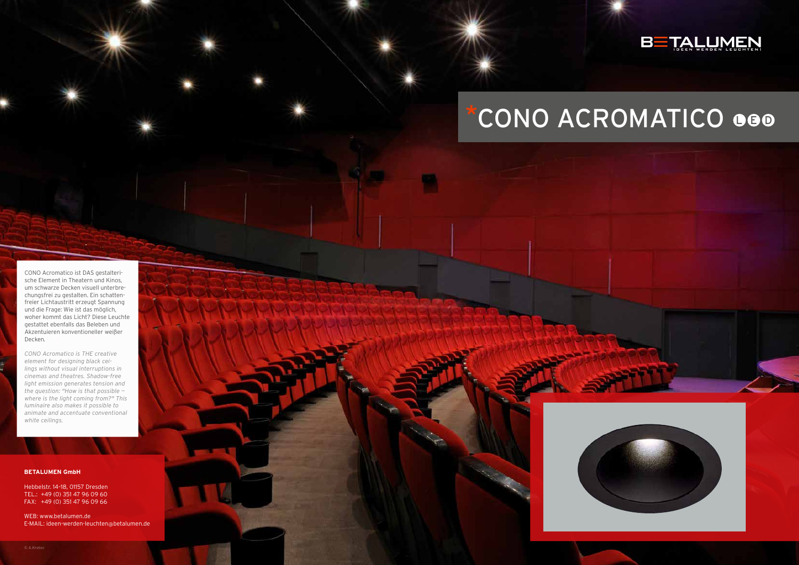#### **BETALUMEN GmbH**

Hebbelstr. 14–18, 01157 Dresden TEL.: +49 (0) 351 47 96 09 60 FAX: +49 (0) 351 47 96 09 66

WEB: www.betalumen.de E-MAIL: ideen-werden-leuchten@betalumen.de





# \*CONO ACROMATICO OGO

CONO Acromatico ist DAS gestalterische Element in Theatern und Kinos, um schwarze Decken visuell unterbrechungsfrei zu gestalten. Ein schattenfreier Lichtaustritt erzeugt Spannung und die Frage: Wie ist das möglich, woher kommt das Licht? Diese Leuchte gestattet ebenfalls das Beleben und Akzentuieren konventioneller weißer Decken*.*

*CONO Acromatico is THE creative element for designing black ceilings without visual interruptions in cinemas and theatres. Shadow-free light emission generates tension and the question: "How is that possible where is the light coming from?" This luminaire also makes it possible to animate and accentuate conventional white ceilings.*